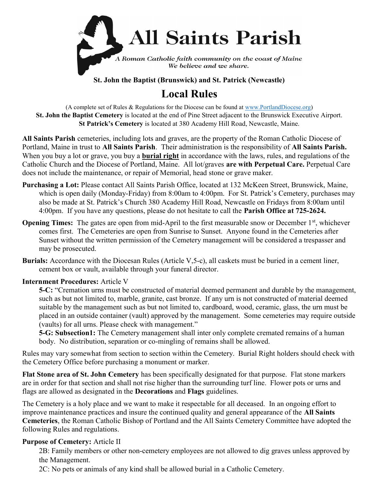

St. John the Baptist (Brunswick) and St. Patrick (Newcastle)

# Local Rules

(A complete set of Rules & Regulations for the Diocese can be found at www.PortlandDiocese.org) St. John the Baptist Cemetery is located at the end of Pine Street adjacent to the Brunswick Executive Airport. St Patrick's Cemetery is located at 380 Academy Hill Road, Newcastle, Maine.

All Saints Parish cemeteries, including lots and graves, are the property of the Roman Catholic Diocese of Portland, Maine in trust to All Saints Parish. Their administration is the responsibility of All Saints Parish. When you buy a lot or grave, you buy a **burial right** in accordance with the laws, rules, and regulations of the Catholic Church and the Diocese of Portland, Maine. All lot/graves are with Perpetual Care. Perpetual Care does not include the maintenance, or repair of Memorial, head stone or grave maker.

- Purchasing a Lot: Please contact All Saints Parish Office, located at 132 McKeen Street, Brunswick, Maine, which is open daily (Monday-Friday) from 8:00am to 4:00pm. For St. Patrick's Cemetery, purchases may also be made at St. Patrick's Church 380 Academy Hill Road, Newcastle on Fridays from 8:00am until 4:00pm. If you have any questions, please do not hesitate to call the **Parish Office at 725-2624.**
- **Opening Times:** The gates are open from mid-April to the first measurable snow or December  $1<sup>st</sup>$ , whichever comes first. The Cemeteries are open from Sunrise to Sunset. Anyone found in the Cemeteries after Sunset without the written permission of the Cemetery management will be considered a trespasser and may be prosecuted.
- Burials: Accordance with the Diocesan Rules (Article V,5-c), all caskets must be buried in a cement liner, cement box or vault, available through your funeral director.

### Internment Procedures: Article V

5-C: "Cremation urns must be constructed of material deemed permanent and durable by the management, such as but not limited to, marble, granite, cast bronze. If any urn is not constructed of material deemed suitable by the management such as but not limited to, cardboard, wood, ceramic, glass, the urn must be placed in an outside container (vault) approved by the management. Some cemeteries may require outside (vaults) for all urns. Please check with management."

5-G: Subsection1: The Cemetery management shall inter only complete cremated remains of a human body. No distribution, separation or co-mingling of remains shall be allowed.

Rules may vary somewhat from section to section within the Cemetery. Burial Right holders should check with the Cemetery Office before purchasing a monument or marker.

Flat Stone area of St. John Cemetery has been specifically designated for that purpose. Flat stone markers are in order for that section and shall not rise higher than the surrounding turf line. Flower pots or urns and flags are allowed as designated in the Decorations and Flags guidelines.

The Cemetery is a holy place and we want to make it respectable for all deceased. In an ongoing effort to improve maintenance practices and insure the continued quality and general appearance of the All Saints Cemeteries, the Roman Catholic Bishop of Portland and the All Saints Cemetery Committee have adopted the following Rules and regulations.

### Purpose of Cemetery: Article II

2B: Family members or other non-cemetery employees are not allowed to dig graves unless approved by the Management.

2C: No pets or animals of any kind shall be allowed burial in a Catholic Cemetery.